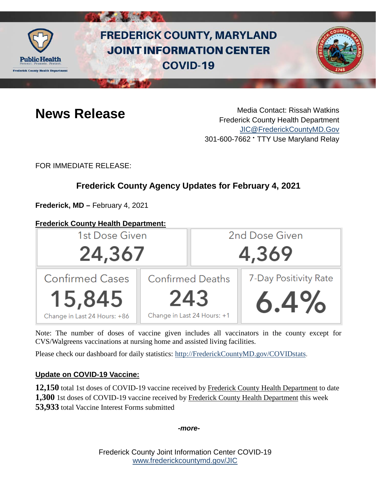

# **FREDERICK COUNTY, MARYLAND JOINT INFORMATION CENTER COVID-19**



**News Release** Media Contact: Rissah Watkins Frederick County Health Department [JIC@FrederickCountyMD.Gov](mailto:JIC@FrederickCountyMD.Gov) 301-600-7662 • TTY Use Maryland Relay

FOR IMMEDIATE RELEASE:

## **Frederick County Agency Updates for February 4, 2021**

**Frederick, MD –** February 4, 2021

## **Frederick County Health Department:**



Note: The number of doses of vaccine given includes all vaccinators in the county except for CVS/Walgreens vaccinations at nursing home and assisted living facilities.

Please check our dashboard for daily statistics: [http://FrederickCountyMD.gov/COVIDstats.](http://frederickcountymd.gov/COVIDstats)

## **Update on COVID-19 Vaccine:**

**12,150** total 1st doses of COVID-19 vaccine received by Frederick County Health Department to date **1,300** 1st doses of COVID-19 vaccine received by Frederick County Health Department this week **53,933** total Vaccine Interest Forms submitted

*-more-*

Frederick County Joint Information Center COVID-19 [www.frederickcountymd.gov/JIC](https://frederickcountymd.gov/JIC)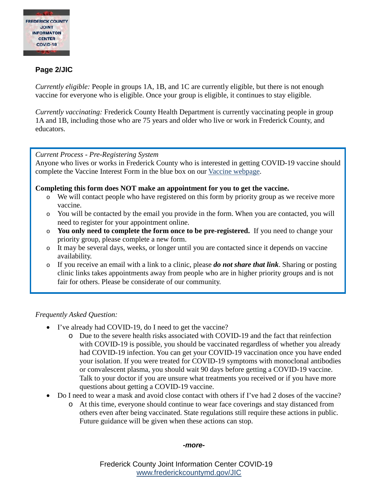

## **Page 2/JIC**

*Currently eligible:* People in groups 1A, 1B, and 1C are currently eligible, but there is not enough vaccine for everyone who is eligible. Once your group is eligible, it continues to stay eligible.

*Currently vaccinating:* Frederick County Health Department is currently vaccinating people in group 1A and 1B, including those who are 75 years and older who live or work in Frederick County, and educators.

#### *Current Process - Pre-Registering System*

Anyone who lives or works in Frederick County who is interested in getting COVID-19 vaccine should complete the Vaccine Interest Form in the blue box on our [Vaccine webpage.](https://health.frederickcountymd.gov/629/COVID-19-Vaccine)

#### **Completing this form does NOT make an appointment for you to get the vaccine.**

- o We will contact people who have registered on this form by priority group as we receive more vaccine.
- o You will be contacted by the email you provide in the form. When you are contacted, you will need to register for your appointment online.
- o **You only need to complete the form once to be pre-registered.** If you need to change your priority group, please complete a new form.
- o It may be several days, weeks, or longer until you are contacted since it depends on vaccine availability.
- o If you receive an email with a link to a clinic, please *do not share that link*. Sharing or posting clinic links takes appointments away from people who are in higher priority groups and is not fair for others. Please be considerate of our community.

#### *Frequently Asked Question:*

- I've already had COVID-19, do I need to get the vaccine?
	- o Due to the severe health risks associated with COVID-19 and the fact that reinfection with COVID-19 is possible, you should be vaccinated regardless of whether you already had COVID-19 infection. You can get your COVID-19 vaccination once you have ended your isolation. If you were treated for COVID-19 symptoms with monoclonal antibodies or convalescent plasma, you should wait 90 days before getting a COVID-19 vaccine. Talk to your doctor if you are unsure what treatments you received or if you have more questions about getting a COVID-19 vaccine.
- Do I need to wear a mask and avoid close contact with others if I've had 2 doses of the vaccine?
	- o At this time, everyone should continue to wear face coverings and stay distanced from others even after being vaccinated. State regulations still require these actions in public. Future guidance will be given when these actions can stop.

#### *-more-*